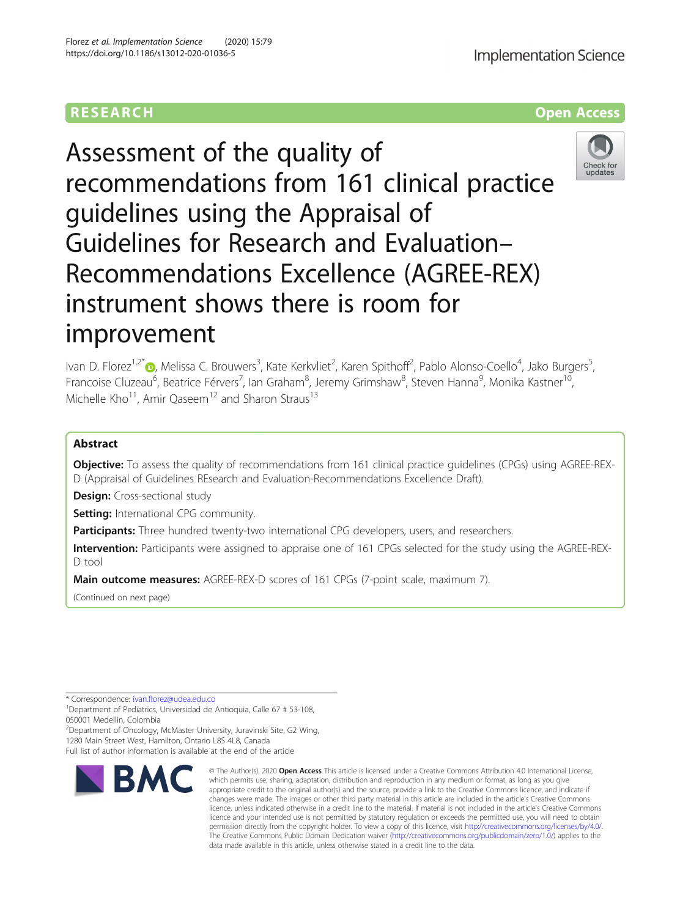## **RESEARCH CHE Open Access**

# Assessment of the quality of recommendations from 161 clinical practice guidelines using the Appraisal of Guidelines for Research and Evaluation– Recommendations Excellence (AGREE-REX) instrument shows there is room for improvement



Ivan D. Florez<sup>1[,](http://orcid.org/0000-0002-0751-8932)2\*</sup>iD, Melissa C. Brouwers<sup>3</sup>, Kate Kerkvliet<sup>2</sup>, Karen Spithoff<sup>2</sup>, Pablo Alonso-Coello<sup>4</sup>, Jako Burgers<sup>5</sup> , Francoise Cluzeau<sup>6</sup>, Beatrice Férvers<sup>7</sup>, Ian Graham<sup>8</sup>, Jeremy Grimshaw<sup>8</sup>, Steven Hanna<sup>9</sup>, Monika Kastner<sup>10</sup>, Michelle Kho<sup>11</sup>, Amir Qaseem<sup>12</sup> and Sharon Straus<sup>13</sup>

## Abstract

**Objective:** To assess the quality of recommendations from 161 clinical practice quidelines (CPGs) using AGREE-REX-D (Appraisal of Guidelines REsearch and Evaluation-Recommendations Excellence Draft).

**Design:** Cross-sectional study

**Setting:** International CPG community.

Participants: Three hundred twenty-two international CPG developers, users, and researchers.

Intervention: Participants were assigned to appraise one of 161 CPGs selected for the study using the AGREE-REX-D tool

Main outcome measures: AGREE-REX-D scores of 161 CPGs (7-point scale, maximum 7).

(Continued on next page)

\* Correspondence: [ivan.florez@udea.edu.co](mailto:ivan.florez@udea.edu.co) <sup>1</sup>

<sup>2</sup>Department of Oncology, McMaster University, Juravinski Site, G2 Wing,

1280 Main Street West, Hamilton, Ontario L8S 4L8, Canada Full list of author information is available at the end of the article



<sup>©</sup> The Author(s), 2020 **Open Access** This article is licensed under a Creative Commons Attribution 4.0 International License, which permits use, sharing, adaptation, distribution and reproduction in any medium or format, as long as you give appropriate credit to the original author(s) and the source, provide a link to the Creative Commons licence, and indicate if changes were made. The images or other third party material in this article are included in the article's Creative Commons licence, unless indicated otherwise in a credit line to the material. If material is not included in the article's Creative Commons licence and your intended use is not permitted by statutory regulation or exceeds the permitted use, you will need to obtain permission directly from the copyright holder. To view a copy of this licence, visit [http://creativecommons.org/licenses/by/4.0/.](http://creativecommons.org/licenses/by/4.0/) The Creative Commons Public Domain Dedication waiver [\(http://creativecommons.org/publicdomain/zero/1.0/](http://creativecommons.org/publicdomain/zero/1.0/)) applies to the data made available in this article, unless otherwise stated in a credit line to the data.

<sup>&</sup>lt;sup>1</sup>Department of Pediatrics, Universidad de Antioquia, Calle 67 # 53-108, 050001 Medellin, Colombia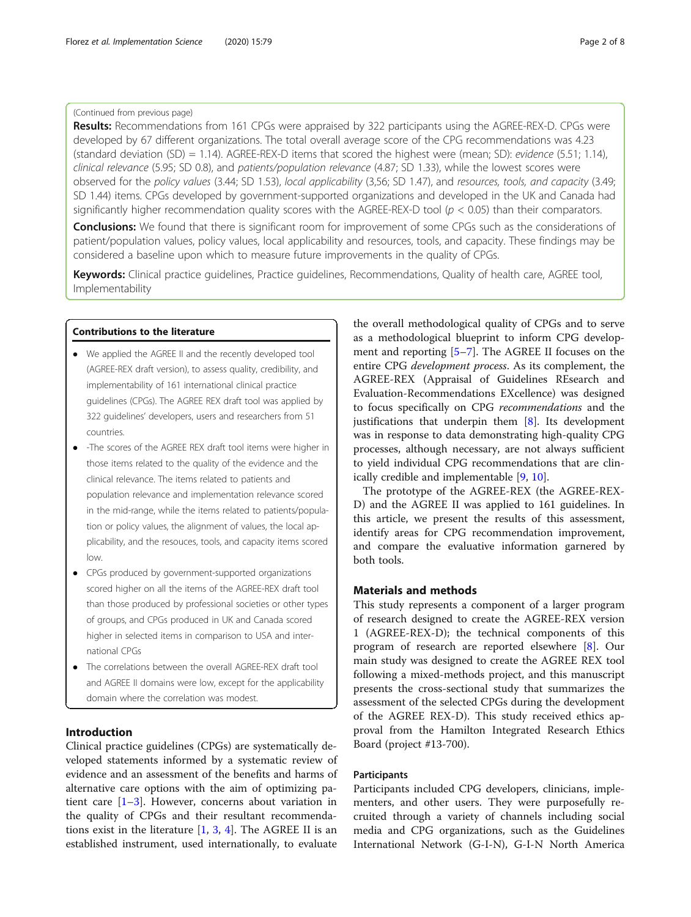## (Continued from previous page)

Results: Recommendations from 161 CPGs were appraised by 322 participants using the AGREE-REX-D. CPGs were developed by 67 different organizations. The total overall average score of the CPG recommendations was 4.23 (standard deviation (SD) = 1.14). AGREE-REX-D items that scored the highest were (mean; SD): evidence (5.51; 1.14), clinical relevance (5.95; SD 0.8), and patients/population relevance (4.87; SD 1.33), while the lowest scores were observed for the policy values (3.44; SD 1.53), local applicability (3,56; SD 1.47), and resources, tools, and capacity (3.49; SD 1.44) items. CPGs developed by government-supported organizations and developed in the UK and Canada had significantly higher recommendation quality scores with the AGREE-REX-D tool ( $p < 0.05$ ) than their comparators.

Conclusions: We found that there is significant room for improvement of some CPGs such as the considerations of patient/population values, policy values, local applicability and resources, tools, and capacity. These findings may be considered a baseline upon which to measure future improvements in the quality of CPGs.

Keywords: Clinical practice quidelines, Practice quidelines, Recommendations, Quality of health care, AGREE tool, Implementability

## Contributions to the literature

- We applied the AGREE II and the recently developed tool (AGREE-REX draft version), to assess quality, credibility, and implementability of 161 international clinical practice guidelines (CPGs). The AGREE REX draft tool was applied by 322 guidelines' developers, users and researchers from 51 countries.
- -The scores of the AGREE REX draft tool items were higher in those items related to the quality of the evidence and the clinical relevance. The items related to patients and population relevance and implementation relevance scored in the mid-range, while the items related to patients/population or policy values, the alignment of values, the local applicability, and the resouces, tools, and capacity items scored low.
- CPGs produced by government-supported organizations scored higher on all the items of the AGREE-REX draft tool than those produced by professional societies or other types of groups, and CPGs produced in UK and Canada scored higher in selected items in comparison to USA and international CPGs
- The correlations between the overall AGREE-REX draft tool and AGREE II domains were low, except for the applicability domain where the correlation was modest.

## Introduction

Clinical practice guidelines (CPGs) are systematically developed statements informed by a systematic review of evidence and an assessment of the benefits and harms of alternative care options with the aim of optimizing patient care [[1](#page-7-0)–[3](#page-7-0)]. However, concerns about variation in the quality of CPGs and their resultant recommendations exist in the literature [\[1](#page-7-0), [3](#page-7-0), [4\]](#page-7-0). The AGREE II is an established instrument, used internationally, to evaluate

the overall methodological quality of CPGs and to serve as a methodological blueprint to inform CPG development and reporting [\[5](#page-7-0)–[7](#page-7-0)]. The AGREE II focuses on the entire CPG development process. As its complement, the AGREE-REX (Appraisal of Guidelines REsearch and Evaluation-Recommendations EXcellence) was designed to focus specifically on CPG recommendations and the justifications that underpin them [[8\]](#page-7-0). Its development was in response to data demonstrating high-quality CPG processes, although necessary, are not always sufficient to yield individual CPG recommendations that are clinically credible and implementable [\[9](#page-7-0), [10](#page-7-0)].

The prototype of the AGREE-REX (the AGREE-REX-D) and the AGREE II was applied to 161 guidelines. In this article, we present the results of this assessment, identify areas for CPG recommendation improvement, and compare the evaluative information garnered by both tools.

## Materials and methods

This study represents a component of a larger program of research designed to create the AGREE-REX version 1 (AGREE-REX-D); the technical components of this program of research are reported elsewhere [\[8\]](#page-7-0). Our main study was designed to create the AGREE REX tool following a mixed-methods project, and this manuscript presents the cross-sectional study that summarizes the assessment of the selected CPGs during the development of the AGREE REX-D). This study received ethics approval from the Hamilton Integrated Research Ethics Board (project #13-700).

## **Participants**

Participants included CPG developers, clinicians, implementers, and other users. They were purposefully recruited through a variety of channels including social media and CPG organizations, such as the Guidelines International Network (G-I-N), G-I-N North America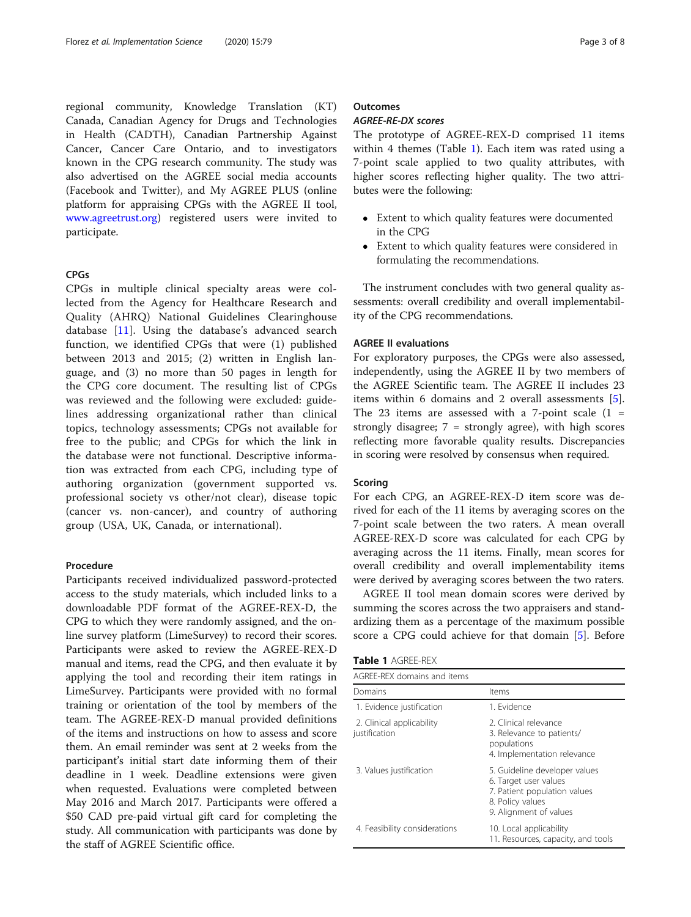regional community, Knowledge Translation (KT) Canada, Canadian Agency for Drugs and Technologies in Health (CADTH), Canadian Partnership Against Cancer, Cancer Care Ontario, and to investigators known in the CPG research community. The study was also advertised on the AGREE social media accounts (Facebook and Twitter), and My AGREE PLUS (online platform for appraising CPGs with the AGREE II tool, [www.agreetrust.org\)](http://www.agreetrust.org) registered users were invited to participate.

## CPGs

CPGs in multiple clinical specialty areas were collected from the Agency for Healthcare Research and Quality (AHRQ) National Guidelines Clearinghouse database [\[11\]](#page-7-0). Using the database's advanced search function, we identified CPGs that were (1) published between 2013 and 2015; (2) written in English language, and (3) no more than 50 pages in length for the CPG core document. The resulting list of CPGs was reviewed and the following were excluded: guidelines addressing organizational rather than clinical topics, technology assessments; CPGs not available for free to the public; and CPGs for which the link in the database were not functional. Descriptive information was extracted from each CPG, including type of authoring organization (government supported vs. professional society vs other/not clear), disease topic (cancer vs. non-cancer), and country of authoring group (USA, UK, Canada, or international).

## Procedure

Participants received individualized password-protected access to the study materials, which included links to a downloadable PDF format of the AGREE-REX-D, the CPG to which they were randomly assigned, and the online survey platform (LimeSurvey) to record their scores. Participants were asked to review the AGREE-REX-D manual and items, read the CPG, and then evaluate it by applying the tool and recording their item ratings in LimeSurvey. Participants were provided with no formal training or orientation of the tool by members of the team. The AGREE-REX-D manual provided definitions of the items and instructions on how to assess and score them. An email reminder was sent at 2 weeks from the participant's initial start date informing them of their deadline in 1 week. Deadline extensions were given when requested. Evaluations were completed between May 2016 and March 2017. Participants were offered a \$50 CAD pre-paid virtual gift card for completing the study. All communication with participants was done by the staff of AGREE Scientific office.

## **Outcomes**

## AGREE-RE-DX scores

The prototype of AGREE-REX-D comprised 11 items within 4 themes (Table 1). Each item was rated using a 7-point scale applied to two quality attributes, with higher scores reflecting higher quality. The two attributes were the following:

- Extent to which quality features were documented in the CPG
- Extent to which quality features were considered in formulating the recommendations.

The instrument concludes with two general quality assessments: overall credibility and overall implementability of the CPG recommendations.

## AGREE II evaluations

For exploratory purposes, the CPGs were also assessed, independently, using the AGREE II by two members of the AGREE Scientific team. The AGREE II includes 23 items within 6 domains and 2 overall assessments [\[5](#page-7-0)]. The 23 items are assessed with a 7-point scale  $(1 =$ strongly disagree; 7 = strongly agree), with high scores reflecting more favorable quality results. Discrepancies in scoring were resolved by consensus when required.

## **Scoring**

For each CPG, an AGREE-REX-D item score was derived for each of the 11 items by averaging scores on the 7-point scale between the two raters. A mean overall AGREE-REX-D score was calculated for each CPG by averaging across the 11 items. Finally, mean scores for overall credibility and overall implementability items were derived by averaging scores between the two raters.

AGREE II tool mean domain scores were derived by summing the scores across the two appraisers and standardizing them as a percentage of the maximum possible score a CPG could achieve for that domain [[5\]](#page-7-0). Before

|  |  | Table 1 AGRFF-RFX |
|--|--|-------------------|
|--|--|-------------------|

| AGREE-REX domains and items                |                                                                                                                                      |
|--------------------------------------------|--------------------------------------------------------------------------------------------------------------------------------------|
| Domains                                    | Items                                                                                                                                |
| 1. Evidence justification                  | 1. Evidence                                                                                                                          |
| 2. Clinical applicability<br>justification | 2. Clinical relevance<br>3. Relevance to patients/<br>populations<br>4. Implementation relevance                                     |
| 3. Values justification                    | 5. Guideline developer values<br>6. Target user values<br>7. Patient population values<br>8. Policy values<br>9. Alignment of values |
| 4. Feasibility considerations              | 10. Local applicability<br>11. Resources, capacity, and tools                                                                        |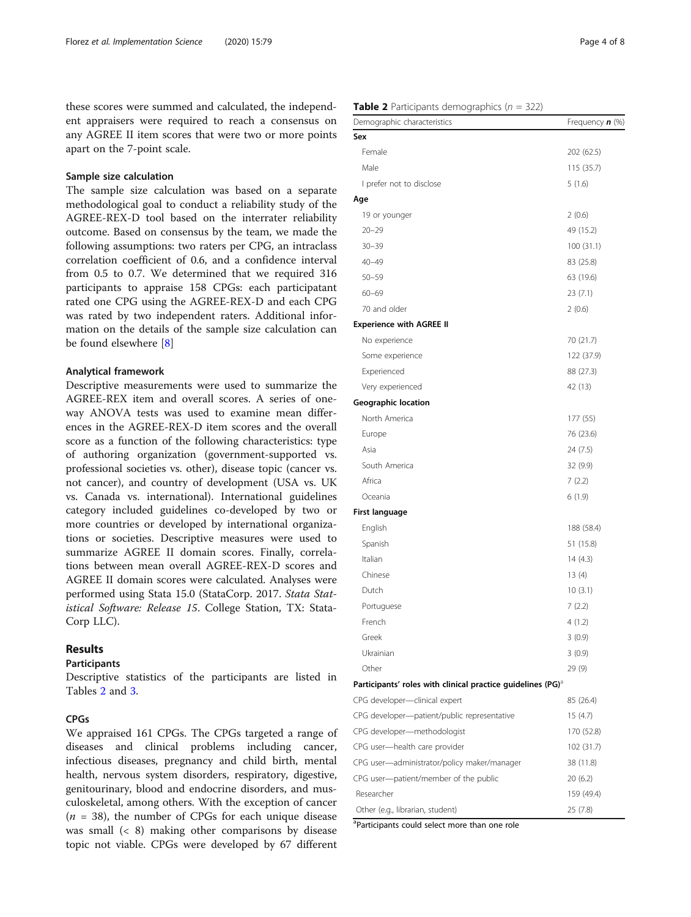these scores were summed and calculated, the independent appraisers were required to reach a consensus on any AGREE II item scores that were two or more points apart on the 7-point scale.

#### Sample size calculation

The sample size calculation was based on a separate methodological goal to conduct a reliability study of the AGREE-REX-D tool based on the interrater reliability outcome. Based on consensus by the team, we made the following assumptions: two raters per CPG, an intraclass correlation coefficient of 0.6, and a confidence interval from 0.5 to 0.7. We determined that we required 316 participants to appraise 158 CPGs: each participatant rated one CPG using the AGREE-REX-D and each CPG was rated by two independent raters. Additional information on the details of the sample size calculation can be found elsewhere [[8\]](#page-7-0)

#### Analytical framework

Descriptive measurements were used to summarize the AGREE-REX item and overall scores. A series of oneway ANOVA tests was used to examine mean differences in the AGREE-REX-D item scores and the overall score as a function of the following characteristics: type of authoring organization (government-supported vs. professional societies vs. other), disease topic (cancer vs. not cancer), and country of development (USA vs. UK vs. Canada vs. international). International guidelines category included guidelines co-developed by two or more countries or developed by international organizations or societies. Descriptive measures were used to summarize AGREE II domain scores. Finally, correlations between mean overall AGREE-REX-D scores and AGREE II domain scores were calculated. Analyses were performed using Stata 15.0 (StataCorp. 2017. Stata Statistical Software: Release 15. College Station, TX: Stata-Corp LLC).

## Results

## Participants

Descriptive statistics of the participants are listed in Tables 2 and [3](#page-4-0).

## CPGs

We appraised 161 CPGs. The CPGs targeted a range of diseases and clinical problems including cancer, infectious diseases, pregnancy and child birth, mental health, nervous system disorders, respiratory, digestive, genitourinary, blood and endocrine disorders, and musculoskeletal, among others. With the exception of cancer  $(n = 38)$ , the number of CPGs for each unique disease was small (< 8) making other comparisons by disease topic not viable. CPGs were developed by 67 different

#### **Table 2** Participants demographics ( $n = 322$ )

| Demographic characteristics                                             | Frequency <b>n</b> (%) |
|-------------------------------------------------------------------------|------------------------|
| Sex                                                                     |                        |
| Female                                                                  | 202 (62.5)             |
| Male                                                                    | 115 (35.7)             |
| I prefer not to disclose                                                | 5(1.6)                 |
| Age                                                                     |                        |
| 19 or younger                                                           | 2(0.6)                 |
| $20 - 29$                                                               | 49 (15.2)              |
| $30 - 39$                                                               | 100(31.1)              |
| $40 - 49$                                                               | 83 (25.8)              |
| $50 - 59$                                                               | 63 (19.6)              |
| $60 - 69$                                                               | 23 (7.1)               |
| 70 and older                                                            | 2(0.6)                 |
| <b>Experience with AGREE II</b>                                         |                        |
| No experience                                                           | 70 (21.7)              |
| Some experience                                                         | 122 (37.9)             |
| Experienced                                                             | 88 (27.3)              |
| Very experienced                                                        | 42 (13)                |
| Geographic location                                                     |                        |
| North America                                                           | 177 (55)               |
| Europe                                                                  | 76 (23.6)              |
| Asia                                                                    | 24 (7.5)               |
| South America                                                           | 32 (9.9)               |
| Africa                                                                  | 7(2.2)                 |
| Oceania                                                                 | 6(1.9)                 |
| First language                                                          |                        |
| English                                                                 | 188 (58.4)             |
| Spanish                                                                 | 51 (15.8)              |
| Italian                                                                 | 14 (4.3)               |
| Chinese                                                                 | 13(4)                  |
| Dutch                                                                   | 10(3.1)                |
| Portuguese                                                              | 7(2.2)                 |
| French                                                                  | 4 (1.2)                |
| Greek                                                                   | 3(0.9)                 |
| Ukrainian                                                               | 3(0.9)                 |
| Other                                                                   | 29 (9)                 |
| Participants' roles with clinical practice guidelines (PG) <sup>a</sup> |                        |
| CPG developer-clinical expert                                           | 85 (26.4)              |
| CPG developer-patient/public representative                             | 15(4.7)                |
| CPG developer-methodologist                                             | 170 (52.8)             |
| CPG user-health care provider                                           | 102 (31.7)             |
| CPG user-administrator/policy maker/manager                             | 38 (11.8)              |
| CPG user-patient/member of the public                                   | 20 (6.2)               |
| Researcher                                                              | 159 (49.4)             |
| Other (e.g., librarian, student)                                        | 25 (7.8)               |

<sup>a</sup>Participants could select more than one role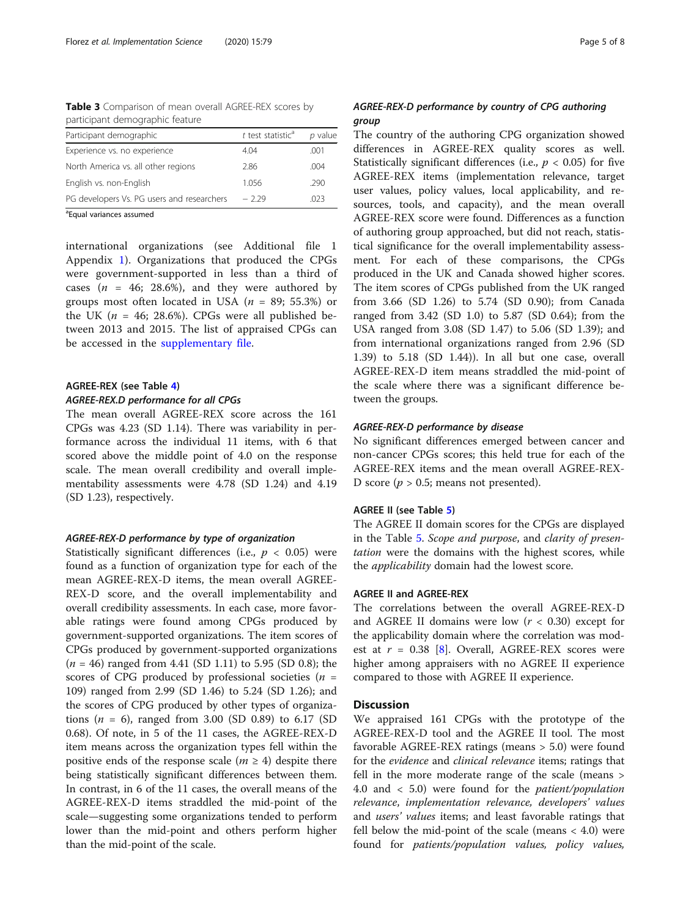<span id="page-4-0"></span>Table 3 Comparison of mean overall AGREE-REX scores by participant demographic feature

| Participant demographic                    | $t$ test statistic <sup>a</sup> | p value |
|--------------------------------------------|---------------------------------|---------|
| Experience vs. no experience               | 4.04                            | .001    |
| North America vs. all other regions        | 2.86                            | .004    |
| English vs. non-English                    | 1.056                           | .290    |
| PG developers Vs. PG users and researchers | $-229$                          | .023    |
|                                            |                                 |         |

<sup>a</sup>Equal variances assumed

international organizations (see Additional file 1 Appendix [1\)](#page-7-0). Organizations that produced the CPGs were government-supported in less than a third of cases ( $n = 46$ ; 28.6%), and they were authored by groups most often located in USA ( $n = 89$ ; 55.3%) or the UK ( $n = 46$ ; 28.6%). CPGs were all published between 2013 and 2015. The list of appraised CPGs can be accessed in the [supplementary file.](#page-7-0)

## AGREE-REX (see Table [4](#page-5-0))

#### AGREE-REX.D performance for all CPGs

The mean overall AGREE-REX score across the 161 CPGs was 4.23 (SD 1.14). There was variability in performance across the individual 11 items, with 6 that scored above the middle point of 4.0 on the response scale. The mean overall credibility and overall implementability assessments were 4.78 (SD 1.24) and 4.19 (SD 1.23), respectively.

## AGREE-REX-D performance by type of organization

Statistically significant differences (i.e.,  $p < 0.05$ ) were found as a function of organization type for each of the mean AGREE-REX-D items, the mean overall AGREE-REX-D score, and the overall implementability and overall credibility assessments. In each case, more favorable ratings were found among CPGs produced by government-supported organizations. The item scores of CPGs produced by government-supported organizations  $(n = 46)$  ranged from 4.41 (SD 1.11) to 5.95 (SD 0.8); the scores of CPG produced by professional societies  $(n =$ 109) ranged from 2.99 (SD 1.46) to 5.24 (SD 1.26); and the scores of CPG produced by other types of organizations ( $n = 6$ ), ranged from 3.00 (SD 0.89) to 6.17 (SD 0.68). Of note, in 5 of the 11 cases, the AGREE-REX-D item means across the organization types fell within the positive ends of the response scale ( $m \geq 4$ ) despite there being statistically significant differences between them. In contrast, in 6 of the 11 cases, the overall means of the AGREE-REX-D items straddled the mid-point of the scale—suggesting some organizations tended to perform lower than the mid-point and others perform higher than the mid-point of the scale.

## AGREE-REX-D performance by country of CPG authoring group

The country of the authoring CPG organization showed differences in AGREE-REX quality scores as well. Statistically significant differences (i.e.,  $p < 0.05$ ) for five AGREE-REX items (implementation relevance, target user values, policy values, local applicability, and resources, tools, and capacity), and the mean overall AGREE-REX score were found. Differences as a function of authoring group approached, but did not reach, statistical significance for the overall implementability assessment. For each of these comparisons, the CPGs produced in the UK and Canada showed higher scores. The item scores of CPGs published from the UK ranged from 3.66 (SD 1.26) to 5.74 (SD 0.90); from Canada ranged from 3.42 (SD 1.0) to 5.87 (SD 0.64); from the USA ranged from 3.08 (SD 1.47) to 5.06 (SD 1.39); and from international organizations ranged from 2.96 (SD 1.39) to 5.18 (SD 1.44)). In all but one case, overall AGREE-REX-D item means straddled the mid-point of the scale where there was a significant difference between the groups.

## AGREE-REX-D performance by disease

No significant differences emerged between cancer and non-cancer CPGs scores; this held true for each of the AGREE-REX items and the mean overall AGREE-REX-D score ( $p > 0.5$ ; means not presented).

## AGREE II (see Table [5\)](#page-6-0)

The AGREE II domain scores for the CPGs are displayed in the Table [5.](#page-6-0) Scope and purpose, and clarity of presentation were the domains with the highest scores, while the applicability domain had the lowest score.

## AGREE II and AGREE-REX

The correlations between the overall AGREE-REX-D and AGREE II domains were low  $(r < 0.30)$  except for the applicability domain where the correlation was modest at  $r = 0.38$  [\[8](#page-7-0)]. Overall, AGREE-REX scores were higher among appraisers with no AGREE II experience compared to those with AGREE II experience.

## **Discussion**

We appraised 161 CPGs with the prototype of the AGREE-REX-D tool and the AGREE II tool. The most favorable AGREE-REX ratings (means > 5.0) were found for the evidence and clinical relevance items; ratings that fell in the more moderate range of the scale (means > 4.0 and < 5.0) were found for the patient/population relevance, implementation relevance, developers' values and *users' values* items; and least favorable ratings that fell below the mid-point of the scale (means  $<$  4.0) were found for patients/population values, policy values,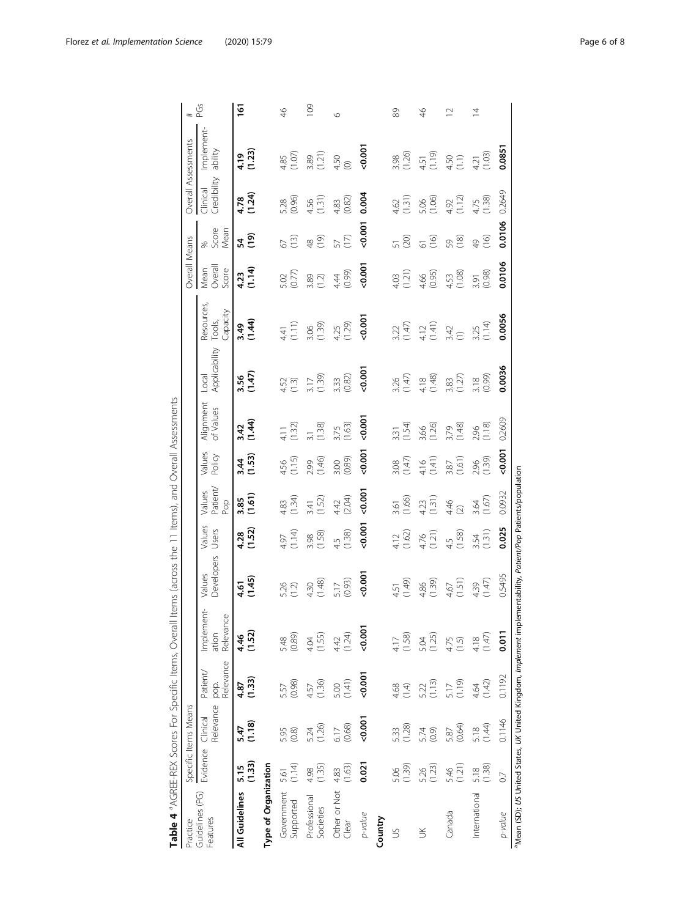<span id="page-5-0"></span>

| Practice                                                                                                    |                  | Specific Items Means  |                               |                                  |                      |                  |                           |                    |                        |                        |                                  | <b>Overall Means</b>     |                               | Overall Assessments     |                                               | #                |
|-------------------------------------------------------------------------------------------------------------|------------------|-----------------------|-------------------------------|----------------------------------|----------------------|------------------|---------------------------|--------------------|------------------------|------------------------|----------------------------------|--------------------------|-------------------------------|-------------------------|-----------------------------------------------|------------------|
| Guidelines (PG)<br>Features                                                                                 | Evidence         | Relevance<br>Clinical | pop.<br>Relevance<br>Patient/ | Implement-<br>Relevance<br>ation | Developers<br>Values | Values<br>Users  | Patient/<br>Values<br>Pop | Values<br>Policy   | Alignment<br>of Values | Applicability<br>Local | Resources,<br>Capacity<br>Tools, | Overall<br>Score<br>Mean | %<br>Score<br>Mean            | Credibility<br>Clinical | Implement-<br>ability                         | PGs              |
| All Guidelines                                                                                              | 5.15<br>(1.33)   | 5.47<br>(1.18)        | $\frac{4.87}{(1.33)}$         | $4.46$<br>(1.52)                 | $4.61$<br>(1.45)     | $4.28$<br>(1.52) | 3.85<br>(1.61)            | $3.44$<br>(1.53)   | 3.42<br>(1.44)         | $3.56$<br>(1.47)       | $3.49$<br>(1.44)                 | $4.23$<br>(1.14)         | ន<br>ភូ                       | 4.78<br>(1.24)          | $\begin{array}{c} 4.19 \\ (1.23) \end{array}$ | $\overline{161}$ |
| Type of Organization                                                                                        |                  |                       |                               |                                  |                      |                  |                           |                    |                        |                        |                                  |                          |                               |                         |                                               |                  |
| Government<br>Supported                                                                                     | $5.61$<br>(1.14) | 5.95<br>(0.8)         | 5.57<br>(0.98)                | 5.48<br>(0.89)                   | 5.26<br>(1.2)        | 4.97<br>(1.14)   | 4.83<br>(1.34)            | $4.56$<br>(1.15)   | $4.11$<br>(1.32)       | 4.52<br>(1.3)          | $441$<br>(1.1)                   | 5.02<br>(0.77)           | (13)<br>67                    | 5.28<br>(0.96)          | $4.85$<br>(1.07)                              | $\frac{4}{5}$    |
| Professional<br>Societies                                                                                   | (1.35)<br>4.98   | 5.24<br>(1.26)        | 4.57<br>(1.36)                | $4.55$ )                         | $4.30$<br>(1.48)     | $3.98$<br>(1.58) | (1.52)<br>3.41            | 2.99<br>(1.46)     | $3.1$<br>(1.38)        | (1.39)<br>3.17         | $3.06$<br>(1.39)                 | $3.89$<br>(1.2)          | $\left(\frac{6}{2}\right)$    | $4.56$<br>(1.31)        | $3.89$<br>(1.21)                              | $\overline{109}$ |
| Other or Not<br>Clear                                                                                       | (1.63)<br>4.83   | $6.17$<br>$(0.68)$    | 5.00                          | $4.42$<br>(1.24)                 | (0.93)<br>5.17       | $4.5$<br>(1.38)  | 4.42<br>(2.04)            | $3.00$<br>$(0.89)$ | $3.75$<br>(1.63)       | (0.82)<br>3.33         | 4.25<br>(1.29)                   | (0.99)<br>444            | $57$<br>(17)                  | $4.83$<br>(0.82)        | 4.50<br>$\widehat{\odot}$                     | $\circ$          |
| p-value                                                                                                     | 0.021            | 0.001                 | 0.001                         | 0.001                            | $-0.00$              | $-0.00$          | 0.001                     | 0.001              | $-0.001$               | $-0.001$               | $-0.00$                          | $-0.001$                 | 0.001                         | 0.004                   | $-0.001$                                      |                  |
| Country                                                                                                     |                  |                       |                               |                                  |                      |                  |                           |                    |                        |                        |                                  |                          |                               |                         |                                               |                  |
| $\supseteq$                                                                                                 | 5.06<br>(1.39)   | (1.28)<br>5.33        | $4.68$<br>(1.4)               | $4.17$<br>(1.58)                 | (94.1)<br>4.51       | $4.12$<br>(1.62) | (1.66)<br>3.61            | $3.08$<br>(1.47)   | $3.31$<br>(1.54)       | (1.47)<br>3.26         | $3.22$<br>(1.47)                 | $4.03$<br>(1.21)         | 5 2                           | $4.62$<br>(1.31)        | 3.98<br>(1.26)                                | 89               |
| $\leq$                                                                                                      | 5.26<br>(1.23)   | 5.74<br>(0.9)         | $5.22$<br>(1.13)              | 5.04<br>(1.25)                   | 4.86<br>(1.39)       | $4.76$<br>(1.21) | $4.23$<br>(1.31)          | (1.4)              | 3.66<br>(1.26)         | $4.18$<br>(1.48)       | $4.12$<br>(1.41)                 | 4.66<br>(0.95)           | $\overline{6}$ $\overline{6}$ | $5.06$<br>(1.06)        | $4.51$<br>(1.19)                              | $\frac{1}{2}$    |
| Canada                                                                                                      | 5.46<br>(1.21)   | 5.87<br>(0.64)        | $5.17$<br>(1.19)              | $4.75$<br>(1.5)                  | $4.67$<br>(1.51)     | $4.5$<br>(1.58)  | $4.46$<br>(2)             | $3.87$<br>(1.61)   | 3.79<br>(1.48)         | 3.83<br>(1.27)         | $3.42$<br>(1)                    | $4.53$<br>(1.08)         | 39                            | $4.92$<br>(1.12)        | $4.50$<br>(1.1)                               | $\simeq$         |
| International                                                                                               | 5.18<br>(1.38)   | 5.18<br>(1.44)        | $4.64$<br>(1.42)              | (1.47)<br>4.18                   | $4.39$<br>(1.47)     | $3.54$<br>(1.31) | $3.64$<br>(1.67)          | $2.96$<br>(1.39)   | $2.96$<br>(1.18)       | $3.18$<br>$(0.99)$     | $3.25$<br>(1.14)                 | $3.91$<br>$(0.98)$       | $\frac{1}{6}$                 | 4.75<br>(1.38)          | $4.21$<br>(1.03)                              | $\overline{4}$   |
| p-value                                                                                                     | $\overline{0}$ . | 0.1146                | 0.1192                        | 0.011                            | 0.5495               | 0.025            | 0.0932                    | 0.001              | 0.2609                 | 0.0036                 | 0.0056                           | 0.0106                   | 0.0106                        | 0.2649                  | 0.0851                                        |                  |
| Mean (SD); US United States, UK United Kingdom, Implement implementability, Patient/Pop Patients/population |                  |                       |                               |                                  |                      |                  |                           |                    |                        |                        |                                  |                          |                               |                         |                                               |                  |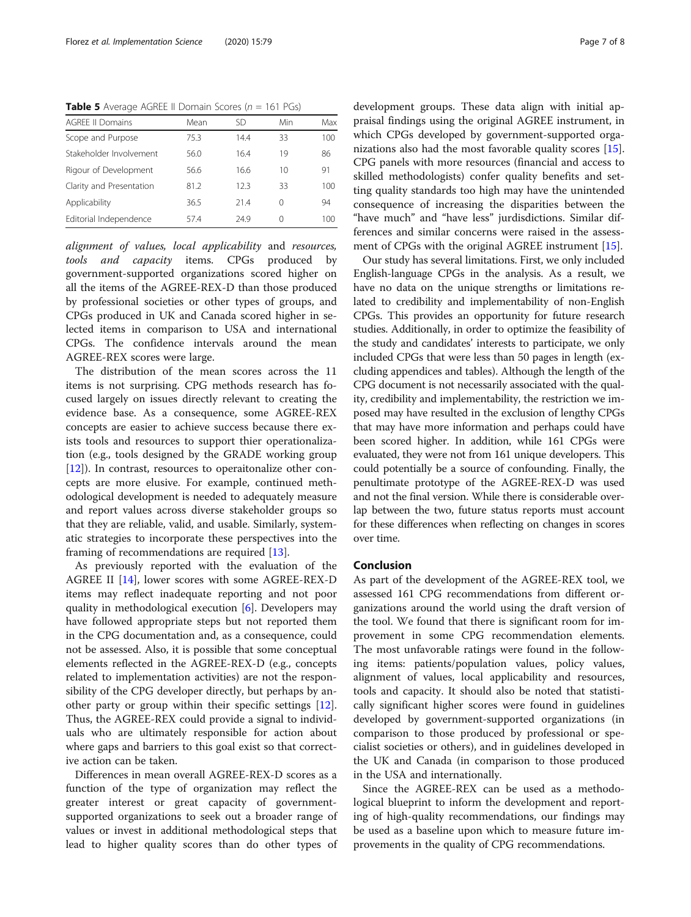<span id="page-6-0"></span>**Table 5** Average AGREE II Domain Scores ( $n = 161$  PGs)

| <b>AGREE II Domains</b>  | Mean | SD   | Min | Max |
|--------------------------|------|------|-----|-----|
| Scope and Purpose        | 75.3 | 14.4 | 33  | 100 |
| Stakeholder Involvement  | 56.0 | 16.4 | 19  | 86  |
| Rigour of Development    | 56.6 | 16.6 | 10  | 91  |
| Clarity and Presentation | 81.2 | 123  | 33  | 100 |
| Applicability            | 36.5 | 21.4 | Ω   | 94  |
| Editorial Independence   | 574  | 24.9 | Ω   | 100 |

alignment of values, local applicability and resources, tools and capacity items. CPGs produced by government-supported organizations scored higher on all the items of the AGREE-REX-D than those produced by professional societies or other types of groups, and CPGs produced in UK and Canada scored higher in selected items in comparison to USA and international CPGs. The confidence intervals around the mean AGREE-REX scores were large.

The distribution of the mean scores across the 11 items is not surprising. CPG methods research has focused largely on issues directly relevant to creating the evidence base. As a consequence, some AGREE-REX concepts are easier to achieve success because there exists tools and resources to support thier operationalization (e.g., tools designed by the GRADE working group [[12\]](#page-7-0)). In contrast, resources to operaitonalize other concepts are more elusive. For example, continued methodological development is needed to adequately measure and report values across diverse stakeholder groups so that they are reliable, valid, and usable. Similarly, systematic strategies to incorporate these perspectives into the framing of recommendations are required [[13\]](#page-7-0).

As previously reported with the evaluation of the AGREE II [\[14](#page-7-0)], lower scores with some AGREE-REX-D items may reflect inadequate reporting and not poor quality in methodological execution [\[6](#page-7-0)]. Developers may have followed appropriate steps but not reported them in the CPG documentation and, as a consequence, could not be assessed. Also, it is possible that some conceptual elements reflected in the AGREE-REX-D (e.g., concepts related to implementation activities) are not the responsibility of the CPG developer directly, but perhaps by another party or group within their specific settings [\[12](#page-7-0)]. Thus, the AGREE-REX could provide a signal to individuals who are ultimately responsible for action about where gaps and barriers to this goal exist so that corrective action can be taken.

Differences in mean overall AGREE-REX-D scores as a function of the type of organization may reflect the greater interest or great capacity of governmentsupported organizations to seek out a broader range of values or invest in additional methodological steps that lead to higher quality scores than do other types of development groups. These data align with initial appraisal findings using the original AGREE instrument, in which CPGs developed by government-supported organizations also had the most favorable quality scores [\[15](#page-7-0)]. CPG panels with more resources (financial and access to skilled methodologists) confer quality benefits and setting quality standards too high may have the unintended consequence of increasing the disparities between the "have much" and "have less" jurdisdictions. Similar differences and similar concerns were raised in the assessment of CPGs with the original AGREE instrument [[15\]](#page-7-0).

Our study has several limitations. First, we only included English-language CPGs in the analysis. As a result, we have no data on the unique strengths or limitations related to credibility and implementability of non-English CPGs. This provides an opportunity for future research studies. Additionally, in order to optimize the feasibility of the study and candidates' interests to participate, we only included CPGs that were less than 50 pages in length (excluding appendices and tables). Although the length of the CPG document is not necessarily associated with the quality, credibility and implementability, the restriction we imposed may have resulted in the exclusion of lengthy CPGs that may have more information and perhaps could have been scored higher. In addition, while 161 CPGs were evaluated, they were not from 161 unique developers. This could potentially be a source of confounding. Finally, the penultimate prototype of the AGREE-REX-D was used and not the final version. While there is considerable overlap between the two, future status reports must account for these differences when reflecting on changes in scores over time.

#### Conclusion

As part of the development of the AGREE-REX tool, we assessed 161 CPG recommendations from different organizations around the world using the draft version of the tool. We found that there is significant room for improvement in some CPG recommendation elements. The most unfavorable ratings were found in the following items: patients/population values, policy values, alignment of values, local applicability and resources, tools and capacity. It should also be noted that statistically significant higher scores were found in guidelines developed by government-supported organizations (in comparison to those produced by professional or specialist societies or others), and in guidelines developed in the UK and Canada (in comparison to those produced in the USA and internationally.

Since the AGREE-REX can be used as a methodological blueprint to inform the development and reporting of high-quality recommendations, our findings may be used as a baseline upon which to measure future improvements in the quality of CPG recommendations.